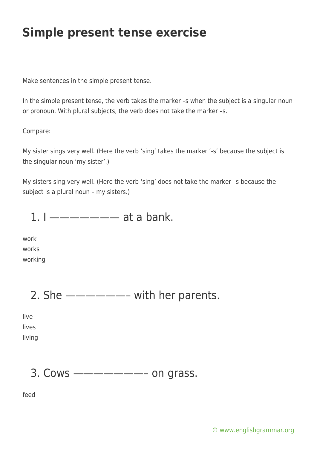Make sentences in the simple present tense.

In the simple present tense, the verb takes the marker –s when the subject is a singular noun or pronoun. With plural subjects, the verb does not take the marker –s.

#### Compare:

My sister sings very well. (Here the verb 'sing' takes the marker '-s' because the subject is the singular noun 'my sister'.)

My sisters sing very well. (Here the verb 'sing' does not take the marker –s because the subject is a plural noun – my sisters.)

1.  $1 -$  — — — — — at a bank.

work works working

# 2. She  $\text{---} \text{---}$  with her parents.

live lives living

## 3. Cows ———————– on grass.

feed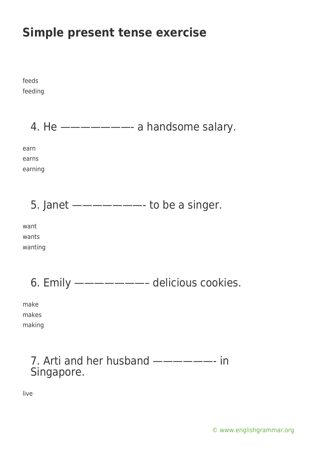feeds feeding 4. He ———————- a handsome salary. earn earns earning 5. Janet  $\frac{---}{---}$  to be a singer. want wants wanting 6. Emily ———————– delicious cookies. make makes making 7. Arti and her husband ——————- in Singapore. live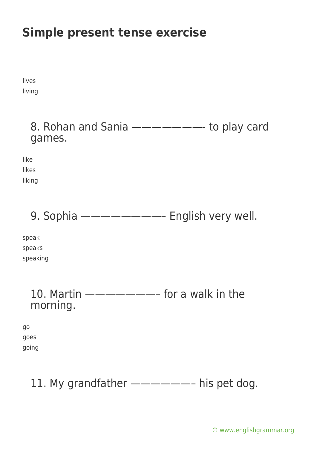lives living

> 8. Rohan and Sania ———————- to play card games.

like likes

liking

9. Sophia ————————– English very well.

speak speaks speaking

> 10. Martin ———————– for a walk in the morning.

go goes going

# 11. My grandfather -------- his pet dog.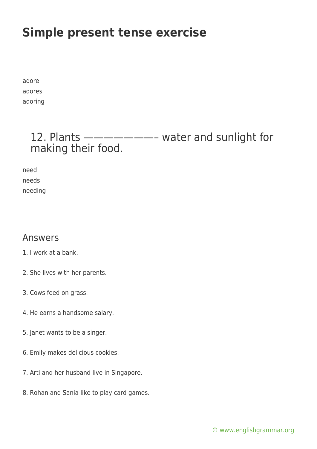adore adores adoring

### 12. Plants ———————– water and sunlight for making their food.

need needs needing

#### Answers

- 1. I work at a bank.
- 2. She lives with her parents.
- 3. Cows feed on grass.
- 4. He earns a handsome salary.
- 5. Janet wants to be a singer.
- 6. Emily makes delicious cookies.
- 7. Arti and her husband live in Singapore.
- 8. Rohan and Sania like to play card games.